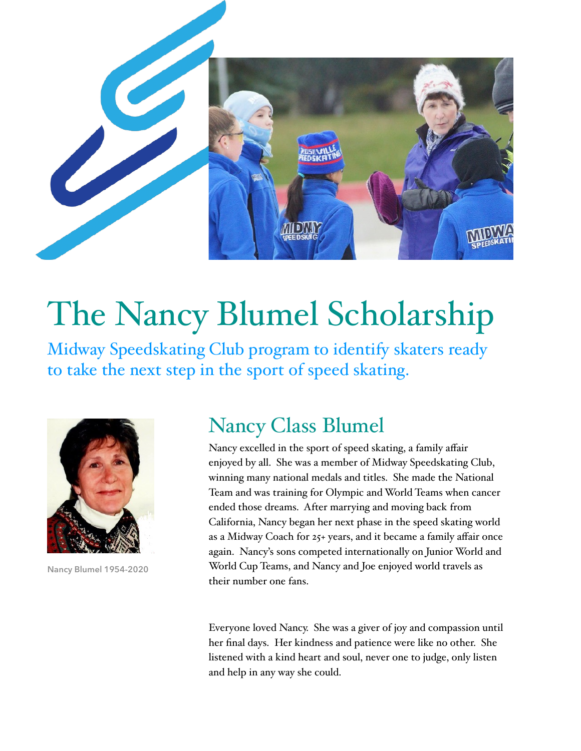

# The Nancy Blumel Scholarship

Midway Speedskating Club program to identify skaters ready to take the next step in the sport of speed skating.



**Nancy Blumel 1954-2020**

## Nancy Class Blumel

Nancy excelled in the sport of speed skating, a family affair enjoyed by all. She was a member of Midway Speedskating Club, winning many national medals and titles. She made the National Team and was training for Olympic and World Teams when cancer ended those dreams. After marrying and moving back from California, Nancy began her next phase in the speed skating world as a Midway Coach for 25+ years, and it became a family affair once again. Nancy's sons competed internationally on Junior World and World Cup Teams, and Nancy and Joe enjoyed world travels as their number one fans.

Everyone loved Nancy. She was a giver of joy and compassion until her final days. Her kindness and patience were like no other. She listened with a kind heart and soul, never one to judge, only listen and help in any way she could.